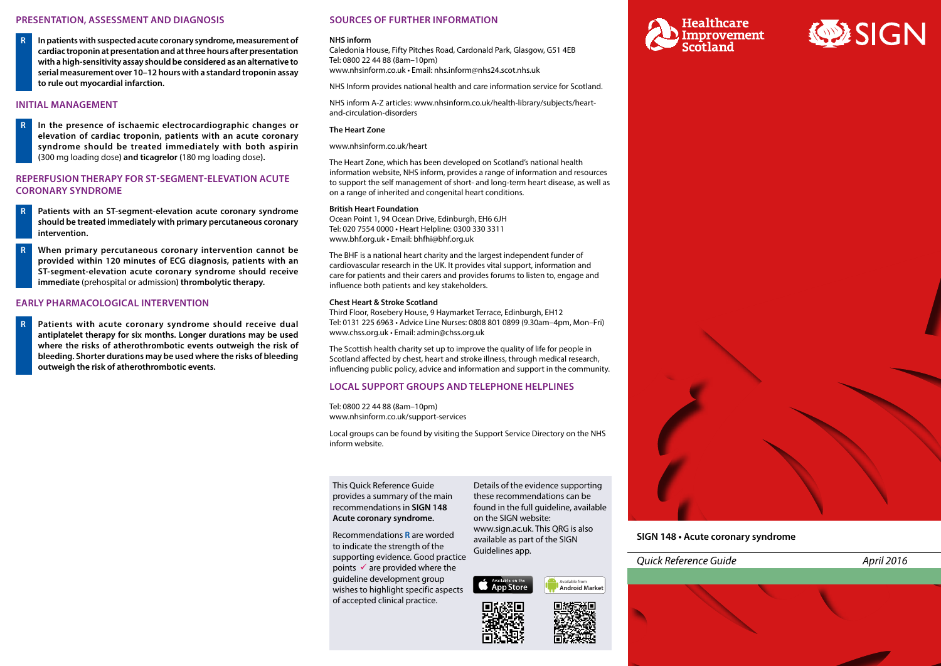# **PRESENTATION, ASSESSMENT AND DIAGNOSIS**

**R In patients with suspected acute coronary syndrome, measurement of cardiac troponin at presentation and at three hours after presentation with a high-sensitivity assay should be considered as an alternative to serial measurement over 10–12 hours with a standard troponin assay to rule out myocardial infarction.**

## **INITIAL MANAGEMENT**

**R In the presence of ischaemic electrocardiographic changes or elevation of cardiac troponin, patients with an acute coronary syndrome should be treated immediately with both aspirin (**300 mg loading dose**) and ticagrelor (**180 mg loading dose**).**

## **REPERFUSION THERAPY FOR ST-SEGMENT-ELEVATION ACUTE CORONARY SYNDROME**

- **R Patients with an ST-segment-elevation acute coronary syndrome should be treated immediately with primary percutaneous coronary intervention.**
- **R When primary percutaneous coronary intervention cannot be provided within 120 minutes of ECG diagnosis, patients with an ST-segment-elevation acute coronary syndrome should receive immediate** (prehospital or admission**) thrombolytic therapy.**

## **EARLY PHARMACOLOGICAL INTERVENTION**

**R Patients with acute coronary syndrome should receive dual antiplatelet therapy for six months. Longer durations may be used where the risks of atherothrombotic events outweigh the risk of bleeding. Shorter durations may be used where the risks of bleeding outweigh the risk of atherothrombotic events.**

## **SOURCES OF FURTHER INFORMATION**

#### **NHS inform**

Caledonia House, Fifty Pitches Road, Cardonald Park, Glasgow, G51 4EB Tel: 0800 22 44 88 (8am–10pm) [www.nhsinform.co.uk](http://www.nhsinform.co.uk) • Email: [nhs.inform@nhs24.scot.nhs.uk](mailto:nhs.inform@nhs24.scot.nhs.uk)

NHS Inform provides national health and care information service for Scotland.

NHS inform A-Z articles: [www.nhsinform.co.uk/health-library/subjects/heart](http://www.nhsinform.co.uk/health-library/subjects/heart-and-circulation-disorders/)[and-circulation-disorders](http://www.nhsinform.co.uk/health-library/subjects/heart-and-circulation-disorders/)

#### **The Heart Zone**

[www.nhsinform.co.uk/heart](http://www.nhsinform.co.uk/heart/)

The Heart Zone, which has been developed on Scotland's national health information website, NHS inform, provides a range of information and resources to support the self management of short- and long-term heart disease, as well as on a range of inherited and congenital heart conditions.

#### **British Heart Foundation**

Ocean Point 1, 94 Ocean Drive, Edinburgh, EH6 6JH Tel: 020 7554 0000 • Heart Helpline: 0300 330 3311 [www.bhf.org.uk](http://www.bhf.org.uk/) • Email: bhfhi@bhf.org.uk

The BHF is a national heart charity and the largest independent funder of cardiovascular research in the UK. It provides vital support, information and care for patients and their carers and provides forums to listen to, engage and influence both patients and key stakeholders.

## **Chest Heart & Stroke Scotland**

Third Floor, Rosebery House, 9 Haymarket Terrace, Edinburgh, EH12 Tel: 0131 225 6963 • Advice Line Nurses: 0808 801 0899 (9.30am–4pm, Mon–Fri) [www.chss.org.uk](http://www.chss.org.uk/) • Email: [admin@chss.org.uk](mailto:admin@chss.org.uk)

The Scottish health charity set up to improve the quality of life for people in Scotland affected by chest, heart and stroke illness, through medical research, influencing public policy, advice and information and support in the community.

## **LOCAL SUPPORT GROUPS AND TELEPHONE HELPLINES**

Tel: 0800 22 44 88 (8am–10pm) [www.nhsinform.co.uk/support-services](http://www.nhsinform.co.uk/support-services/)

Local groups can be found by visiting the Support Service Directory on the NHS inform website.

This Quick Reference Guide provides a summary of the main recommendations in **SIGN 148 Acute coronary syndrome.** 

Recommendations **R** are worded to indicate the strength of the supporting evidence. Good practice points  $\checkmark$  are provided where the guideline development group wishes to highlight specific aspects of accepted clinical practice.

Details of the evidence supporting these recommendations can be found in the full guideline, available on the SIGN website: www.sign.ac.uk. This QRG is also available as part of the SIGN Guidelines app.

Available on the Available from **Android Market**









**SIGN 148 • Acute coronary syndrome**

*Quick Reference Guide April 2016*